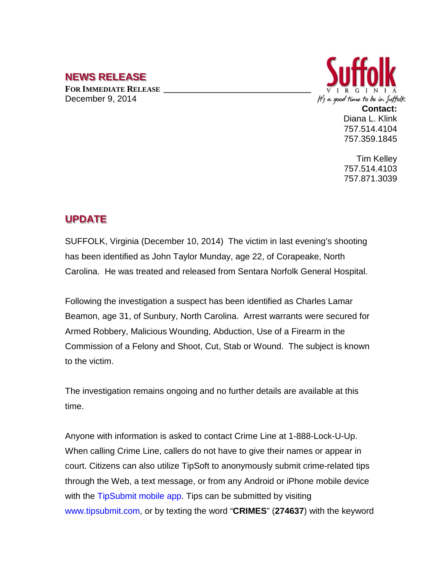## **NEWS RELEASE**

**FOR IMMEDIATE RELEASE \_\_\_\_\_\_\_\_\_\_\_\_\_\_\_\_\_\_\_\_\_\_\_\_\_\_\_\_\_\_\_\_\_\_** December 9, 2014



Diana L. Klink 757.514.4104 757.359.1845

Tim Kelley 757.514.4103 757.871.3039

## **UPDATE**

SUFFOLK, Virginia (December 10, 2014) The victim in last evening's shooting has been identified as John Taylor Munday, age 22, of Corapeake, North Carolina. He was treated and released from Sentara Norfolk General Hospital.

Following the investigation a suspect has been identified as Charles Lamar Beamon, age 31, of Sunbury, North Carolina. Arrest warrants were secured for Armed Robbery, Malicious Wounding, Abduction, Use of a Firearm in the Commission of a Felony and Shoot, Cut, Stab or Wound. The subject is known to the victim.

The investigation remains ongoing and no further details are available at this time.

Anyone with information is asked to contact Crime Line at 1-888-Lock-U-Up. When calling Crime Line, callers do not have to give their names or appear in court. Citizens can also utilize TipSoft to anonymously submit crime-related tips through the Web, a text message, or from any Android or iPhone mobile device with the TipSubmit mobile app. Tips can be submitted by visiting www.tipsubmit.com, or by texting the word "**CRIMES**" (**274637**) with the keyword